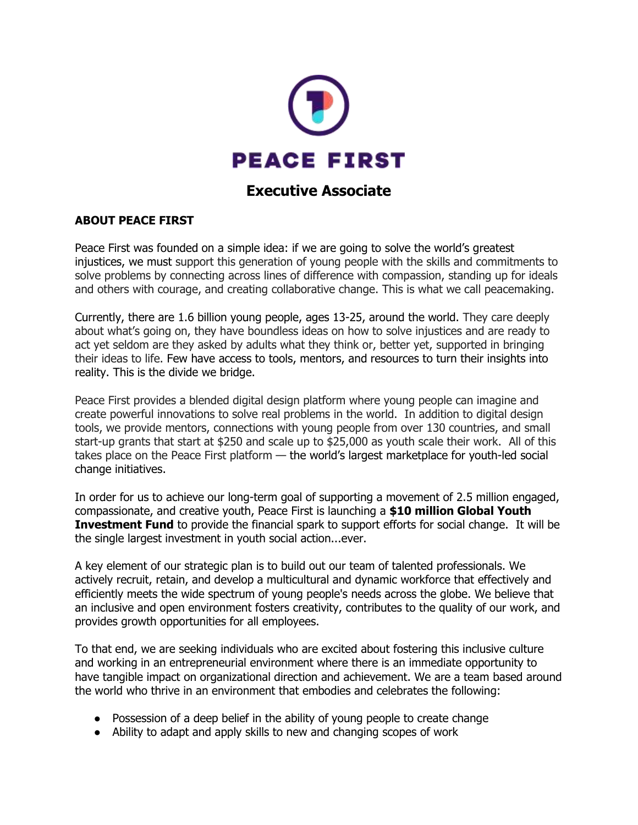

# **Executive Associate**

### **ABOUT PEACE FIRST**

Peace First was founded on a simple idea: if we are going to solve the world's greatest injustices, we must support this generation of young people with the skills and commitments to solve problems by connecting across lines of difference with compassion, standing up for ideals and others with courage, and creating collaborative change. This is what we call peacemaking.

Currently, there are 1.6 billion young people, ages 13-25, around the world. They care deeply about what's going on, they have boundless ideas on how to solve injustices and are ready to act yet seldom are they asked by adults what they think or, better yet, supported in bringing their ideas to life. Few have access to tools, mentors, and resources to turn their insights into reality. This is the divide we bridge.

Peace First provides a blended digital design platform where young people can imagine and create powerful innovations to solve real problems in the world. In addition to digital design tools, we provide mentors, connections with young people from over 130 countries, and small start-up grants that start at \$250 and scale up to \$25,000 as youth scale their work. All of this takes place on the Peace First platform — the world's largest marketplace for youth-led social change initiatives.

In order for us to achieve our long-term goal of supporting a movement of 2.5 million engaged, compassionate, and creative youth, Peace First is launching a **\$10 million Global Youth Investment Fund** to provide the financial spark to support efforts for social change. It will be the single largest investment in youth social action...ever.

A key element of our strategic plan is to build out our team of talented professionals. We actively recruit, retain, and develop a multicultural and dynamic workforce that effectively and efficiently meets the wide spectrum of young people's needs across the globe. We believe that an inclusive and open environment fosters creativity, contributes to the quality of our work, and provides growth opportunities for all employees.

To that end, we are seeking individuals who are excited about fostering this inclusive culture and working in an entrepreneurial environment where there is an immediate opportunity to have tangible impact on organizational direction and achievement. We are a team based around the world who thrive in an environment that embodies and celebrates the following:

- Possession of a deep belief in the ability of young people to create change
- Ability to adapt and apply skills to new and changing scopes of work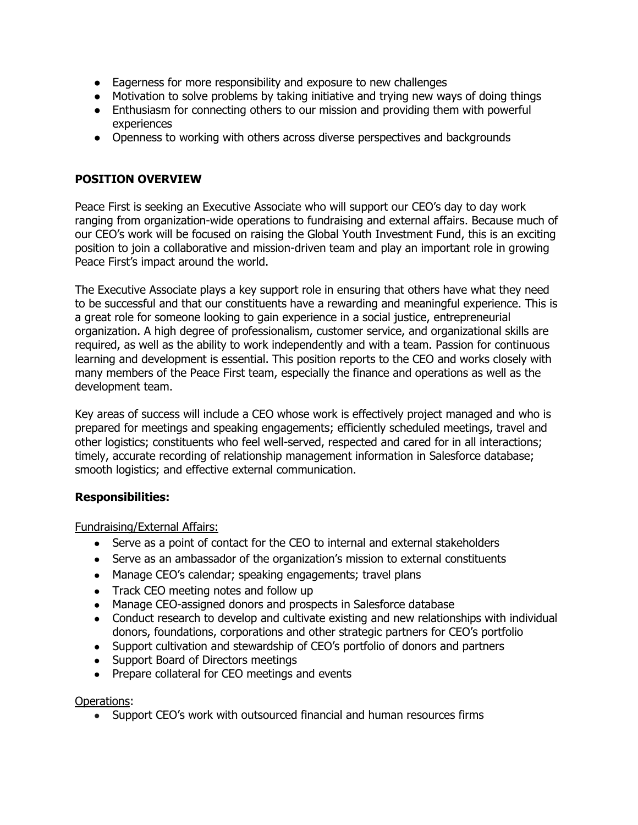- Eagerness for more responsibility and exposure to new challenges
- Motivation to solve problems by taking initiative and trying new ways of doing things
- Enthusiasm for connecting others to our mission and providing them with powerful experiences
- Openness to working with others across diverse perspectives and backgrounds

### **POSITION OVERVIEW**

Peace First is seeking an Executive Associate who will support our CEO's day to day work ranging from organization-wide operations to fundraising and external affairs. Because much of our CEO's work will be focused on raising the Global Youth Investment Fund, this is an exciting position to join a collaborative and mission-driven team and play an important role in growing Peace First's impact around the world.

The Executive Associate plays a key support role in ensuring that others have what they need to be successful and that our constituents have a rewarding and meaningful experience. This is a great role for someone looking to gain experience in a social justice, entrepreneurial organization. A high degree of professionalism, customer service, and organizational skills are required, as well as the ability to work independently and with a team. Passion for continuous learning and development is essential. This position reports to the CEO and works closely with many members of the Peace First team, especially the finance and operations as well as the development team.

Key areas of success will include a CEO whose work is effectively project managed and who is prepared for meetings and speaking engagements; efficiently scheduled meetings, travel and other logistics; constituents who feel well-served, respected and cared for in all interactions; timely, accurate recording of relationship management information in Salesforce database; smooth logistics; and effective external communication.

### **Responsibilities:**

Fundraising/External Affairs:

- Serve as a point of contact for the CEO to internal and external stakeholders
- Serve as an ambassador of the organization's mission to external constituents
- Manage CEO's calendar; speaking engagements; travel plans
- Track CEO meeting notes and follow up
- Manage CEO-assigned donors and prospects in Salesforce database
- Conduct research to develop and cultivate existing and new relationships with individual donors, foundations, corporations and other strategic partners for CEO's portfolio
- Support cultivation and stewardship of CEO's portfolio of donors and partners
- Support Board of Directors meetings
- Prepare collateral for CEO meetings and events

#### Operations:

• Support CEO's work with outsourced financial and human resources firms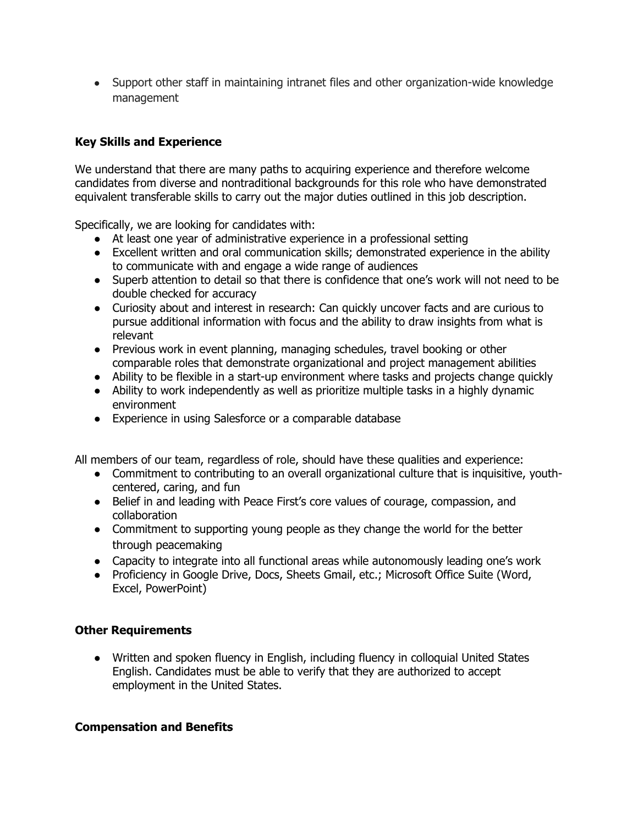● Support other staff in maintaining intranet files and other organization-wide knowledge management

# **Key Skills and Experience**

We understand that there are many paths to acquiring experience and therefore welcome candidates from diverse and nontraditional backgrounds for this role who have demonstrated equivalent transferable skills to carry out the major duties outlined in this job description.

Specifically, we are looking for candidates with:

- At least one year of administrative experience in a professional setting
- Excellent written and oral communication skills; demonstrated experience in the ability to communicate with and engage a wide range of audiences
- Superb attention to detail so that there is confidence that one's work will not need to be double checked for accuracy
- Curiosity about and interest in research: Can quickly uncover facts and are curious to pursue additional information with focus and the ability to draw insights from what is relevant
- Previous work in event planning, managing schedules, travel booking or other comparable roles that demonstrate organizational and project management abilities
- Ability to be flexible in a start-up environment where tasks and projects change quickly
- Ability to work independently as well as prioritize multiple tasks in a highly dynamic environment
- Experience in using Salesforce or a comparable database

All members of our team, regardless of role, should have these qualities and experience:

- Commitment to contributing to an overall organizational culture that is inquisitive, youthcentered, caring, and fun
- Belief in and leading with Peace First's core values of courage, compassion, and collaboration
- Commitment to supporting young people as they change the world for the better through peacemaking
- Capacity to integrate into all functional areas while autonomously leading one's work
- Proficiency in Google Drive, Docs, Sheets Gmail, etc.; Microsoft Office Suite (Word, Excel, PowerPoint)

### **Other Requirements**

● Written and spoken fluency in English, including fluency in colloquial United States English. Candidates must be able to verify that they are authorized to accept employment in the United States.

#### **Compensation and Benefits**